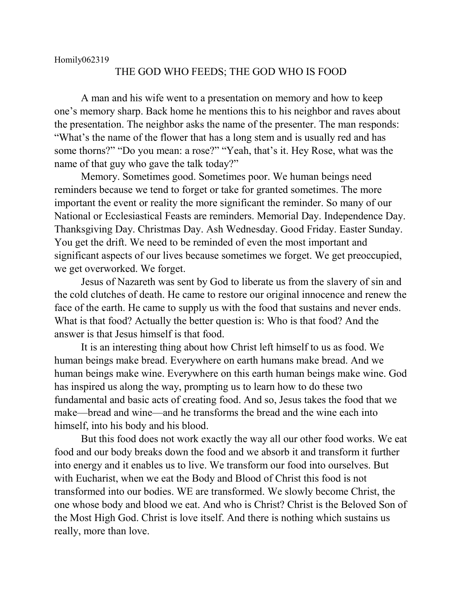## THE GOD WHO FEEDS; THE GOD WHO IS FOOD

A man and his wife went to a presentation on memory and how to keep one's memory sharp. Back home he mentions this to his neighbor and raves about the presentation. The neighbor asks the name of the presenter. The man responds: "What's the name of the flower that has a long stem and is usually red and has some thorns?" "Do you mean: a rose?" "Yeah, that's it. Hey Rose, what was the name of that guy who gave the talk today?"

Memory. Sometimes good. Sometimes poor. We human beings need reminders because we tend to forget or take for granted sometimes. The more important the event or reality the more significant the reminder. So many of our National or Ecclesiastical Feasts are reminders. Memorial Day. Independence Day. Thanksgiving Day. Christmas Day. Ash Wednesday. Good Friday. Easter Sunday. You get the drift. We need to be reminded of even the most important and significant aspects of our lives because sometimes we forget. We get preoccupied, we get overworked. We forget.

Jesus of Nazareth was sent by God to liberate us from the slavery of sin and the cold clutches of death. He came to restore our original innocence and renew the face of the earth. He came to supply us with the food that sustains and never ends. What is that food? Actually the better question is: Who is that food? And the answer is that Jesus himself is that food.

It is an interesting thing about how Christ left himself to us as food. We human beings make bread. Everywhere on earth humans make bread. And we human beings make wine. Everywhere on this earth human beings make wine. God has inspired us along the way, prompting us to learn how to do these two fundamental and basic acts of creating food. And so, Jesus takes the food that we make—bread and wine—and he transforms the bread and the wine each into himself, into his body and his blood.

But this food does not work exactly the way all our other food works. We eat food and our body breaks down the food and we absorb it and transform it further into energy and it enables us to live. We transform our food into ourselves. But with Eucharist, when we eat the Body and Blood of Christ this food is not transformed into our bodies. WE are transformed. We slowly become Christ, the one whose body and blood we eat. And who is Christ? Christ is the Beloved Son of the Most High God. Christ is love itself. And there is nothing which sustains us really, more than love.